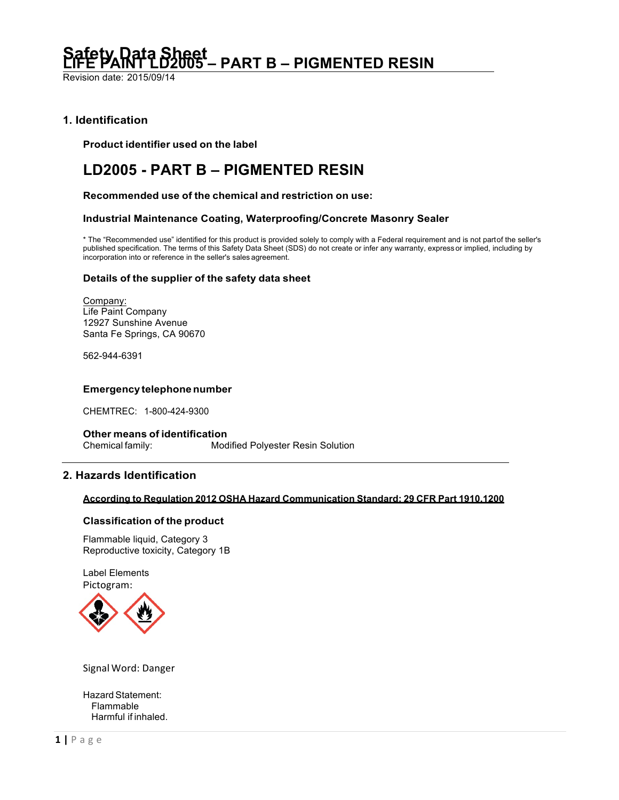Revision date: 2015/09/14

# **1. Identification**

**Product identifier used on the label**

# **LD2005 - PART B – PIGMENTED RESIN**

**Recommended use of the chemical and restriction on use:**

# **Industrial Maintenance Coating, Waterproofing/Concrete Masonry Sealer**

\* The "Recommended use" identified for this product is provided solely to comply with a Federal requirement and is not partof the seller's published specification. The terms of this Safety Data Sheet (SDS) do not create or infer any warranty, express or implied, including by incorporation into or reference in the seller's sales agreement.

# **Details of the supplier of the safety data sheet**

Company: Life Paint Company 12927 Sunshine Avenue Santa Fe Springs, CA 90670

562-944-6391

# **Emergency telephonenumber**

CHEMTREC: 1-800-424-9300

**Other means of identification** Chemical family: Modified Polyester Resin Solution

# **2. Hazards Identification**

## **According to Regulation 2012 OSHA Hazard Communication Standard; 29 CFR Part 1910.1200**

# **Classification of the product**

Flammable liquid, Category 3 Reproductive toxicity, Category 1B

Label Elements Pictogram:



Signal Word: Danger

Hazard Statement: Flammable Harmful if inhaled.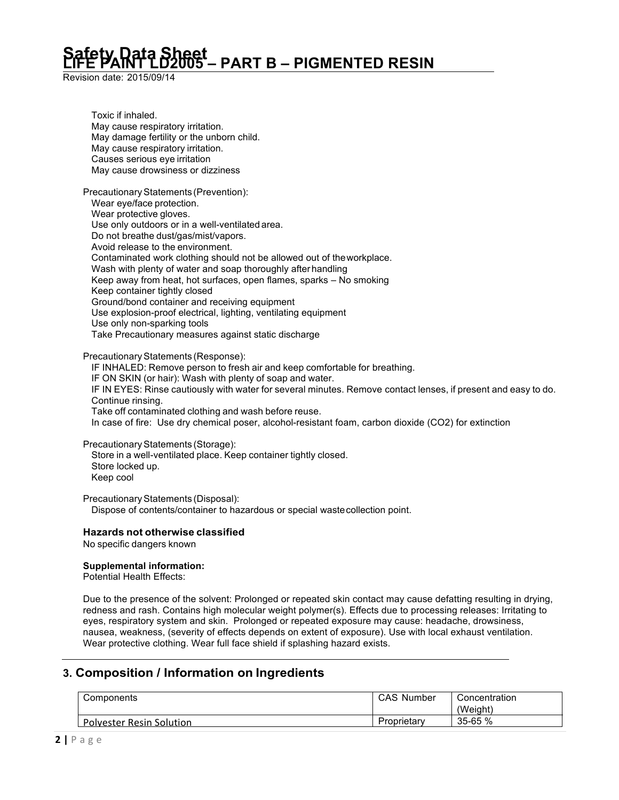Revision date: 2015/09/14

Toxic if inhaled. May cause respiratory irritation. May damage fertility or the unborn child. May cause respiratory irritation. Causes serious eye irritation May cause drowsiness or dizziness

Precautionary Statements (Prevention): Wear eye/face protection. Wear protective gloves. Use only outdoors or in a well-ventilated area. Do not breathe dust/gas/mist/vapors. Avoid release to the environment. Contaminated work clothing should not be allowed out of theworkplace. Wash with plenty of water and soap thoroughly after handling Keep away from heat, hot surfaces, open flames, sparks – No smoking Keep container tightly closed Ground/bond container and receiving equipment Use explosion-proof electrical, lighting, ventilating equipment Use only non-sparking tools Take Precautionary measures against static discharge

Precautionary Statements (Response):

IF INHALED: Remove person to fresh air and keep comfortable for breathing.

IF ON SKIN (or hair): Wash with plenty of soap and water.

IF IN EYES: Rinse cautiously with water for several minutes. Remove contact lenses, if present and easy to do. Continue rinsing.

Take off contaminated clothing and wash before reuse.

In case of fire: Use dry chemical poser, alcohol-resistant foam, carbon dioxide (CO2) for extinction

Precautionary Statements (Storage):

Store in a well-ventilated place. Keep container tightly closed. Store locked up. Keep cool

Precautionary Statements (Disposal): Dispose of contents/container to hazardous or special wastecollection point.

# **Hazards not otherwise classified**

No specific dangers known

# **Supplemental information:**

Potential Health Effects:

Due to the presence of the solvent: Prolonged or repeated skin contact may cause defatting resulting in drying, redness and rash. Contains high molecular weight polymer(s). Effects due to processing releases: Irritating to eyes, respiratory system and skin. Prolonged or repeated exposure may cause: headache, drowsiness, nausea, weakness, (severity of effects depends on extent of exposure). Use with local exhaust ventilation. Wear protective clothing. Wear full face shield if splashing hazard exists.

# **3. Composition / Information on Ingredients**

| Components                      | <b>CAS Number</b> | Concentration |  |
|---------------------------------|-------------------|---------------|--|
|                                 |                   | (Weight)      |  |
| <b>Polvester Resin Solution</b> | Proprietary       | $35 - 65%$    |  |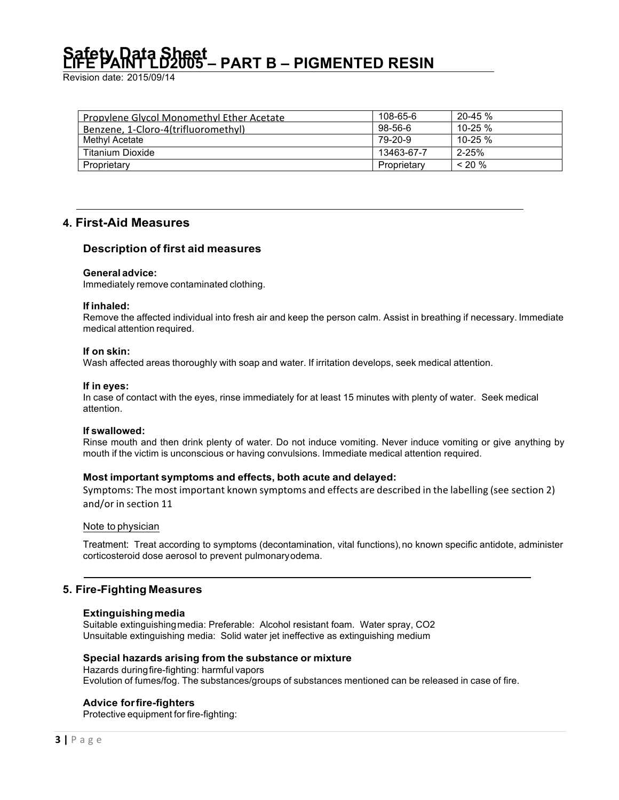Revision date: 2015/09/14

| <b>Propylene Glycol Monomethyl Ether Acetate</b> | 108-65-6    | $20 - 45 \%$ |
|--------------------------------------------------|-------------|--------------|
| Benzene, 1-Cloro-4(trifluoromethyl)              | 98-56-6     | $10 - 25 \%$ |
| Methyl Acetate                                   | 79-20-9     | 10-25 %      |
| Titanium Dioxide                                 | 13463-67-7  | $2 - 25%$    |
| Proprietary                                      | Proprietary | $~120\%$     |

# **4. First-Aid Measures**

# **Description of first aid measures**

### **General advice:**

Immediately remove contaminated clothing.

#### **If inhaled:**

Remove the affected individual into fresh air and keep the person calm. Assist in breathing if necessary. Immediate medical attention required.

#### **If on skin:**

Wash affected areas thoroughly with soap and water. If irritation develops, seek medical attention.

#### **If in eyes:**

In case of contact with the eyes, rinse immediately for at least 15 minutes with plenty of water. Seek medical attention.

### **If swallowed:**

Rinse mouth and then drink plenty of water. Do not induce vomiting. Never induce vomiting or give anything by mouth if the victim is unconscious or having convulsions. Immediate medical attention required.

# **Most important symptoms and effects, both acute and delayed:**

Symptoms: The most important known symptoms and effects are described in the labelling (see section 2) and/or in section 11

# Note to physician

Treatment: Treat according to symptoms (decontamination, vital functions), no known specific antidote, administer corticosteroid dose aerosol to prevent pulmonaryodema.

# **5. Fire-Fighting Measures**

### **Extinguishingmedia**

Suitable extinguishingmedia: Preferable: Alcohol resistant foam. Water spray, CO2 Unsuitable extinguishing media: Solid water jet ineffective as extinguishing medium

### **Special hazards arising from the substance or mixture**

Hazards duringfire-fighting: harmful vapors Evolution of fumes/fog. The substances/groups of substances mentioned can be released in case of fire.

# **Advice forfire-fighters**

Protective equipment for fire-fighting: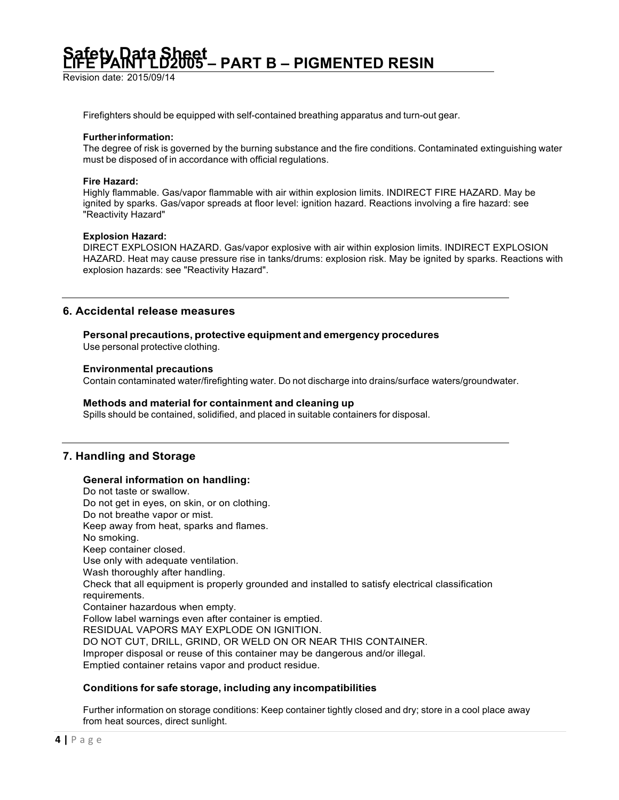Revision date: 2015/09/14

Firefighters should be equipped with self-contained breathing apparatus and turn-out gear.

#### **Furtherinformation:**

The degree of risk is governed by the burning substance and the fire conditions. Contaminated extinguishing water must be disposed of in accordance with official regulations.

#### **Fire Hazard:**

Highly flammable. Gas/vapor flammable with air within explosion limits. INDIRECT FIRE HAZARD. May be ignited by sparks. Gas/vapor spreads at floor level: ignition hazard. Reactions involving a fire hazard: see "Reactivity Hazard"

#### **Explosion Hazard:**

DIRECT EXPLOSION HAZARD. Gas/vapor explosive with air within explosion limits. INDIRECT EXPLOSION HAZARD. Heat may cause pressure rise in tanks/drums: explosion risk. May be ignited by sparks. Reactions with explosion hazards: see "Reactivity Hazard".

# **6. Accidental release measures**

# **Personal precautions, protective equipment and emergency procedures**

Use personal protective clothing.

### **Environmental precautions**

Contain contaminated water/firefighting water. Do not discharge into drains/surface waters/groundwater.

### **Methods and material for containment and cleaning up**

Spills should be contained, solidified, and placed in suitable containers for disposal.

# **7. Handling and Storage**

### **General information on handling:**

Do not taste or swallow. Do not get in eyes, on skin, or on clothing. Do not breathe vapor or mist. Keep away from heat, sparks and flames. No smoking. Keep container closed. Use only with adequate ventilation. Wash thoroughly after handling. Check that all equipment is properly grounded and installed to satisfy electrical classification requirements. Container hazardous when empty. Follow label warnings even after container is emptied. RESIDUAL VAPORS MAY EXPLODE ON IGNITION. DO NOT CUT, DRILL, GRIND, OR WELD ON OR NEAR THIS CONTAINER. Improper disposal or reuse of this container may be dangerous and/or illegal. Emptied container retains vapor and product residue.

### **Conditions for safe storage, including any incompatibilities**

Further information on storage conditions: Keep container tightly closed and dry; store in a cool place away from heat sources, direct sunlight.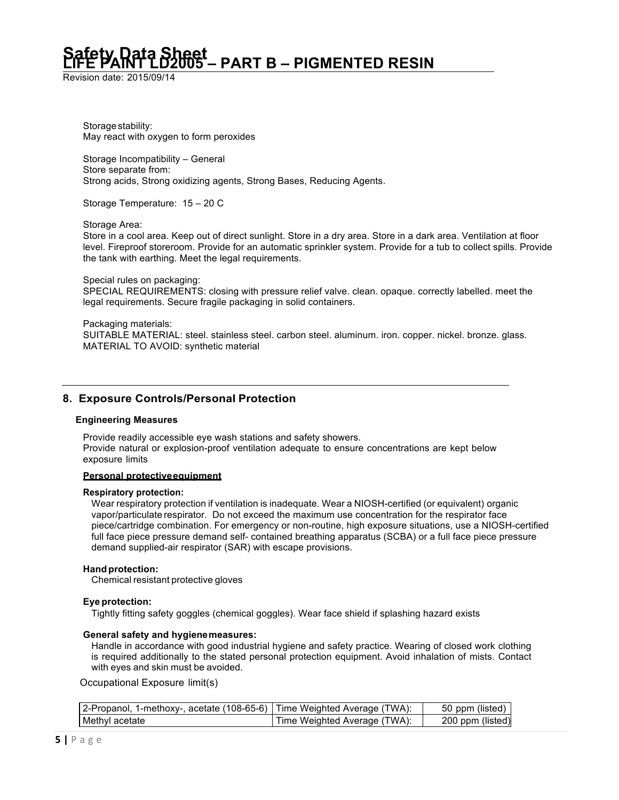Revision date: 2015/09/14

Storage stability: May react with oxygen to form peroxides

Storage Incompatibility – General Store separate from: Strong acids, Strong oxidizing agents, Strong Bases, Reducing Agents.

Storage Temperature: 15 – 20 C

Storage Area:

Store in a cool area. Keep out of direct sunlight. Store in a dry area. Store in a dark area. Ventilation at floor level. Fireproof storeroom. Provide for an automatic sprinkler system. Provide for a tub to collect spills. Provide the tank with earthing. Meet the legal requirements.

Special rules on packaging: SPECIAL REQUIREMENTS: closing with pressure relief valve. clean. opaque. correctly labelled. meet the legal requirements. Secure fragile packaging in solid containers.

Packaging materials: SUITABLE MATERIAL: steel. stainless steel. carbon steel. aluminum. iron. copper. nickel. bronze. glass. MATERIAL TO AVOID: synthetic material

# **8. Exposure Controls/Personal Protection**

### **Engineering Measures**

Provide readily accessible eye wash stations and safety showers. Provide natural or explosion-proof ventilation adequate to ensure concentrations are kept below exposure limits

### **Personal protectiveequipment**

#### **Respiratory protection:**

Wear respiratory protection if ventilation is inadequate. Wear a NIOSH-certified (or equivalent) organic vapor/particulate respirator. Do not exceed the maximum use concentration for the respirator face piece/cartridge combination. For emergency or non-routine, high exposure situations, use a NIOSH-certified full face piece pressure demand self- contained breathing apparatus (SCBA) or a full face piece pressure demand supplied-air respirator (SAR) with escape provisions.

### **Handprotection:**

Chemical resistant protective gloves

### **Eye protection:**

Tightly fitting safety goggles (chemical goggles). Wear face shield if splashing hazard exists

### **General safety and hygienemeasures:**

Handle in accordance with good industrial hygiene and safety practice. Wearing of closed work clothing is required additionally to the stated personal protection equipment. Avoid inhalation of mists. Contact with eyes and skin must be avoided.

Occupational Exposure limit(s)

| 2-Propanol, 1-methoxy-, acetate (108-65-6)   Time Weighted Average (TWA): |                              | 50 ppm (listed)  |
|---------------------------------------------------------------------------|------------------------------|------------------|
| Methyl acetate                                                            | Time Weighted Average (TWA): | 200 ppm (listed) |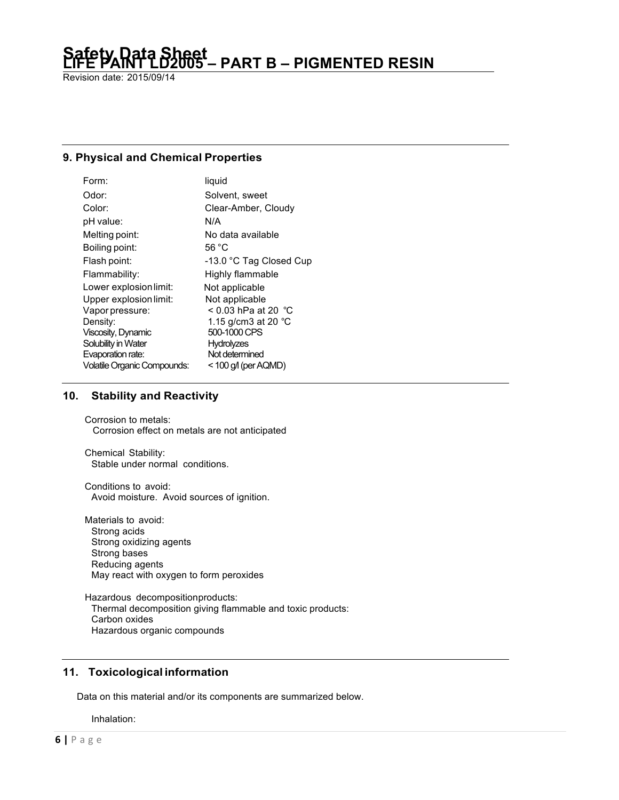Revision date: 2015/09/14

# **9. Physical and Chemical Properties**

| Form:                              | liquid                        |
|------------------------------------|-------------------------------|
| Odor:                              | Solvent, sweet                |
| Color:                             | Clear-Amber, Cloudy           |
| pH value:                          | N/A                           |
| Melting point:                     | No data available             |
| Boiling point:                     | 56 °C                         |
| Flash point:                       | -13.0 °C Tag Closed Cup       |
| Flammability:                      | Highly flammable              |
| Lower explosion limit:             | Not applicable                |
| Upper explosion limit:             | Not applicable                |
| Vapor pressure:                    | < 0.03 hPa at 20 $^{\circ}$ C |
| Density:                           | 1.15 g/cm3 at 20 $^{\circ}$ C |
| Viscosity, Dynamic                 | 500-1000 CPS                  |
| Solubility in Water                | <b>Hydrolyzes</b>             |
| Evaporation rate:                  | Not determined                |
| <b>Volatile Organic Compounds:</b> | $<$ 100 g/l (per AQMD)        |

# **10. Stability and Reactivity**

Corrosion to metals: Corrosion effect on metals are not anticipated

Chemical Stability: Stable under normal conditions.

Conditions to avoid: Avoid moisture. Avoid sources of ignition.

Materials to avoid: Strong acids Strong oxidizing agents Strong bases Reducing agents May react with oxygen to form peroxides

Hazardous decompositionproducts: Thermal decomposition giving flammable and toxic products: Carbon oxides Hazardous organic compounds

# **11. Toxicological information**

Data on this material and/or its components are summarized below.

Inhalation: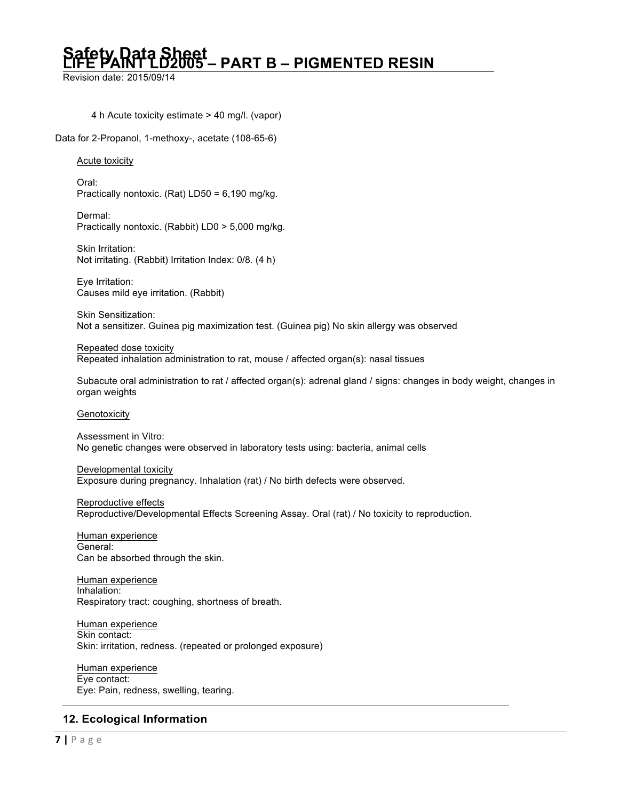Revision date: 2015/09/14

4 h Acute toxicity estimate > 40 mg/l. (vapor)

Data for 2-Propanol, 1-methoxy-, acetate (108-65-6)

# Acute toxicity

Oral: Practically nontoxic. (Rat) LD50 = 6,190 mg/kg.

Dermal: Practically nontoxic. (Rabbit) LD0 > 5,000 mg/kg.

Skin Irritation: Not irritating. (Rabbit) Irritation Index: 0/8. (4 h)

Eye Irritation: Causes mild eye irritation. (Rabbit)

Skin Sensitization: Not a sensitizer. Guinea pig maximization test. (Guinea pig) No skin allergy was observed

Repeated dose toxicity Repeated inhalation administration to rat, mouse / affected organ(s): nasal tissues

Subacute oral administration to rat / affected organ(s): adrenal gland / signs: changes in body weight, changes in organ weights

### Genotoxicity

Assessment in Vitro: No genetic changes were observed in laboratory tests using: bacteria, animal cells

Developmental toxicity Exposure during pregnancy. Inhalation (rat) / No birth defects were observed.

Reproductive effects Reproductive/Developmental Effects Screening Assay. Oral (rat) / No toxicity to reproduction.

Human experience General: Can be absorbed through the skin.

Human experience Inhalation: Respiratory tract: coughing, shortness of breath.

Human experience Skin contact: Skin: irritation, redness. (repeated or prolonged exposure)

Human experience Eye contact: Eye: Pain, redness, swelling, tearing.

# **12. Ecological Information**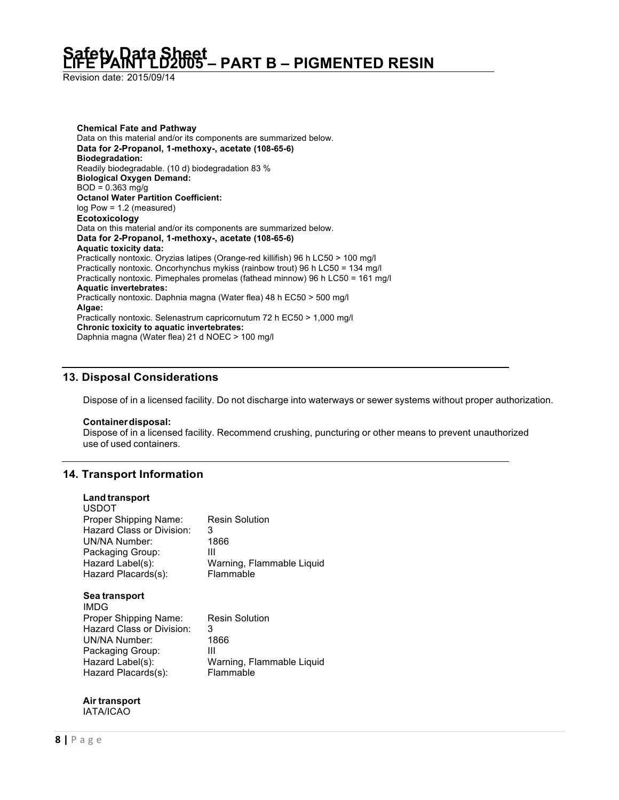Revision date: 2015/09/14

**Chemical Fate and Pathway** Data on this material and/or its components are summarized below. **Data for 2-Propanol, 1-methoxy-, acetate (108-65-6) Biodegradation:** Readily biodegradable. (10 d) biodegradation 83 % **Biological Oxygen Demand:**  $BOD = 0.363$  mg/g **Octanol Water Partition Coefficient:** log Pow = 1.2 (measured) **Ecotoxicology** Data on this material and/or its components are summarized below. **Data for 2-Propanol, 1-methoxy-, acetate (108-65-6) Aquatic toxicity data:** Practically nontoxic. Oryzias latipes (Orange-red killifish) 96 h LC50 > 100 mg/l Practically nontoxic. Oncorhynchus mykiss (rainbow trout) 96 h LC50 = 134 mg/l Practically nontoxic. Pimephales promelas (fathead minnow) 96 h LC50 = 161 mg/l **Aquatic invertebrates:** Practically nontoxic. Daphnia magna (Water flea) 48 h EC50 > 500 mg/l **Algae:** Practically nontoxic. Selenastrum capricornutum 72 h EC50 > 1,000 mg/l **Chronic toxicity to aquatic invertebrates:** Daphnia magna (Water flea) 21 d NOEC > 100 mg/l

# **13. Disposal Considerations**

Dispose of in a licensed facility. Do not discharge into waterways or sewer systems without proper authorization.

### **Containerdisposal:**

Dispose of in a licensed facility. Recommend crushing, puncturing or other means to prevent unauthorized use of used containers.

# **14. Transport Information**

**Land transport**

| Land transport<br><b>USDOT</b><br>Proper Shipping Name:<br>Hazard Class or Division:<br>UN/NA Number:<br>Packaging Group:<br>Hazard Label(s): | <b>Resin Solution</b><br>3<br>1866<br>Ш<br>Warning, Flammable Liquid              |
|-----------------------------------------------------------------------------------------------------------------------------------------------|-----------------------------------------------------------------------------------|
| Hazard Placards(s):<br>Sea transport<br>IMDG                                                                                                  | Flammable                                                                         |
| Proper Shipping Name:<br>Hazard Class or Division:<br><b>UN/NA Number:</b><br>Packaging Group:<br>Hazard Label(s):<br>Hazard Placards(s):     | <b>Resin Solution</b><br>3<br>1866<br>Ш<br>Warning, Flammable Liquid<br>Flammable |

#### **Air transport** IATA/ICAO

**8 |** Page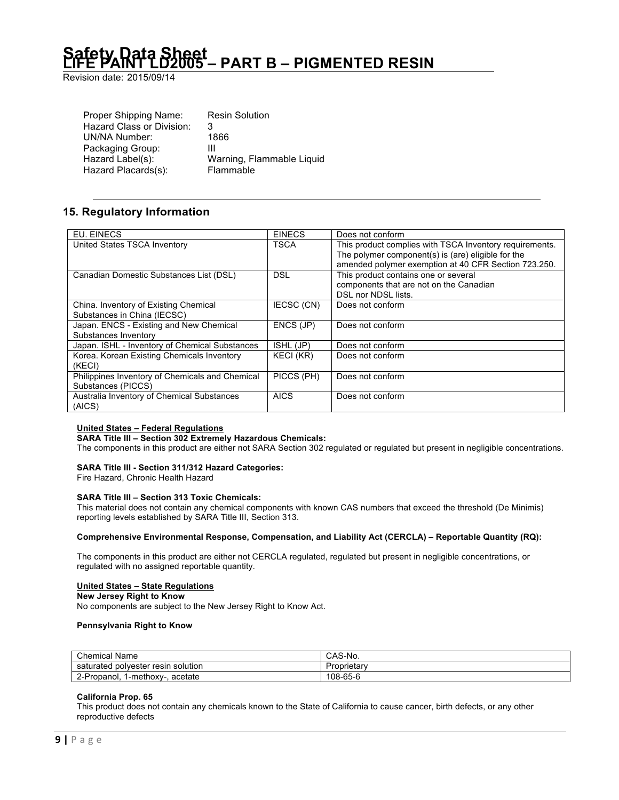Revision date: 2015/09/14

| Proper Shipping Name:     | <b>Resin Solution</b>     |
|---------------------------|---------------------------|
| Hazard Class or Division: | 3                         |
| UN/NA Number:             | 1866                      |
| Packaging Group:          | Ш                         |
| Hazard Label(s):          | Warning, Flammable Liquid |
| Hazard Placards(s):       | Flammable                 |
|                           |                           |

# **15. Regulatory Information**

| EU. EINECS                                      | <b>EINECS</b> | Does not conform                                        |
|-------------------------------------------------|---------------|---------------------------------------------------------|
| United States TSCA Inventory                    | <b>TSCA</b>   | This product complies with TSCA Inventory requirements. |
|                                                 |               | The polymer component(s) is (are) eligible for the      |
|                                                 |               | amended polymer exemption at 40 CFR Section 723.250.    |
| Canadian Domestic Substances List (DSL)         | DSL           | This product contains one or several                    |
|                                                 |               | components that are not on the Canadian                 |
|                                                 |               | DSL nor NDSL lists.                                     |
| China. Inventory of Existing Chemical           | IECSC (CN)    | Does not conform                                        |
| Substances in China (IECSC)                     |               |                                                         |
| Japan. ENCS - Existing and New Chemical         | ENCS (JP)     | Does not conform                                        |
| Substances Inventory                            |               |                                                         |
| Japan. ISHL - Inventory of Chemical Substances  | ISHL (JP)     | Does not conform                                        |
| Korea. Korean Existing Chemicals Inventory      | KECI (KR)     | Does not conform                                        |
| (KECI)                                          |               |                                                         |
| Philippines Inventory of Chemicals and Chemical | PICCS (PH)    | Does not conform                                        |
| Substances (PICCS)                              |               |                                                         |
| Australia Inventory of Chemical Substances      | <b>AICS</b>   | Does not conform                                        |
| (AICS)                                          |               |                                                         |

### **United States – Federal Regulations**

**SARA Title III – Section 302 Extremely Hazardous Chemicals:**

The components in this product are either not SARA Section 302 regulated or regulated but present in negligible concentrations.

### **SARA Title III - Section 311/312 Hazard Categories:**

Fire Hazard, Chronic Health Hazard

#### **SARA Title III – Section 313 Toxic Chemicals:**

This material does not contain any chemical components with known CAS numbers that exceed the threshold (De Minimis) reporting levels established by SARA Title III, Section 313.

#### **Comprehensive Environmental Response, Compensation, and Liability Act (CERCLA) – Reportable Quantity (RQ):**

The components in this product are either not CERCLA regulated, regulated but present in negligible concentrations, or regulated with no assigned reportable quantity.

#### **United States – State Regulations**

### **New Jersey Right to Know**

No components are subject to the New Jersey Right to Know Act.

#### **Pennsylvania Right to Know**

| <b>Chemical Name</b>                 | S-No.<br>JAJ-1 |
|--------------------------------------|----------------|
| saturated polyester resin solution   | .oprietar      |
| 2-Propanol.<br>acetate<br>1-methoxy- | 108-65-6       |

#### **California Prop. 65**

This product does not contain any chemicals known to the State of California to cause cancer, birth defects, or any other reproductive defects